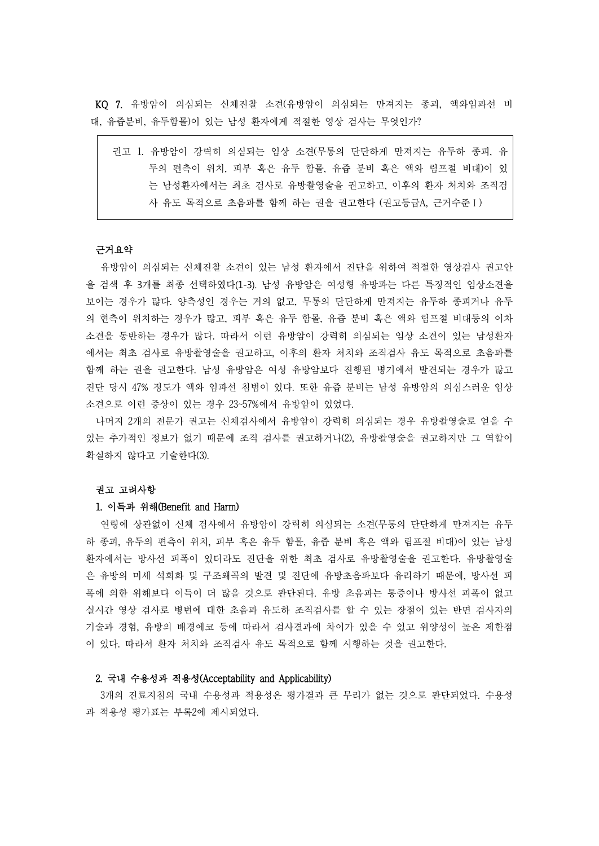KQ 7. 유방암이 의심되는 신체진찰 소견(유방암이 의심되는 만져지는 종괴, 액와임파선 비 대, 유즙분비, 유두함몰)이 있는 남성 환자에게 적절한 영상 검사는 무엇인가?

| 권고 1. 유방암이 강력히 의심되는 임상 소견(무통의 단단하게 만져지는 유두하 종괴, 유ㅣ |
|----------------------------------------------------|
| 두의 편측이 위치, 피부 혹은 유두 함몰, 유즙 분비 혹은 액와 림프절 비대)이 있     |
| 는 남성환자에서는 최초 검사로 유방촬영술을 권고하고, 이후의 환자 처치와 조직검       |
| 사 유도 목적으로 초음파를 함께 하는 권을 권고한다 (권고등급A, 근거수준 I)       |

## 근거요약

유방암이 의심되는 신체진찰 소견이 있는 남성 환자에서 진단을 위하여 적절한 영상검사 권고안 을 검색 후 3개를 최종 선택하였다(1-3). 남성 유방암은 여성형 유방과는 다른 특징적인 임상소견을 보이는 경우가 많다. 양측성인 경우는 거의 없고, 무통의 단단하게 만져지는 유두하 종괴거나 유두 의 현측이 위치하는 경우가 많고, 피부 혹은 유두 함몰, 유즙 분비 혹은 액와 림프절 비대등의 이차 소견을 동반하는 경우가 많다. 따라서 이런 유방암이 강력히 의심되는 임상 소견이 있는 남성환자 에서는 최초 검사로 유방촬영술을 권고하고, 이후의 환자 처치와 조직검사 유도 목적으로 초음파를 함께 하는 권을 권고한다. 남성 유방암은 여성 유방암보다 진행된 병기에서 발견되는 경우가 많고 진단 당시 47% 정도가 액와 임파선 침범이 있다. 또한 유즙 분비는 남성 유방암의 의심스러운 임상 소견으로 이런 증상이 있는 경우 23~57%에서 유방암이 있었다.<br>-<br>나머지 2개의 전문가 권고는 신체검사에서 유방암이 강력히 의심되는 경우 유방촬영술로 얻을 수

있는 추가적인 정보가 없기 때문에 조직 검사를 권고하거나(2), 유방촬영술을 권고하지만 그 역할이 확실하지 않다고 기술한다(3).

#### 권고 고려사항

# 1. 이득과 위해(Benefit and Harm)

연령에 상관없이 신체 검사에서 유방암이 강력히 의심되는 소견(무통의 단단하게 만져지는 유두 하 종괴, 유두의 편측이 위치, 피부 혹은 유두 함몰, 유즙 분비 혹은 액와 림프절 비대)이 있는 남성 환자에서는 방사선 피폭이 있더라도 진단을 위한 최초 검사로 유방촬영술을 권고한다. 유방촬영술 은 유방의 미세 석회화 및 구조왜곡의 발견 및 진단에 유방초음파보다 유리하기 때문에, 방사선 피 폭에 의한 위해보다 이득이 더 많을 것으로 판단된다. 유방 초음파는 통증이나 방사선 피폭이 없고 실시간 영상 검사로 병변에 대한 초음파 유도하 조직검사를 할 수 있는 장점이 있는 반면 검사자의 기술과 경험, 유방의 배경에코 등에 따라서 검사결과에 차이가 있을 수 있고 위양성이 높은 제한점 이 있다. 따라서 환자 처치와 조직검사 유도 목적으로 함께 시행하는 것을 권고한다.

## 2. 국내 수용성과 적용성(Acceptability and Applicability)

3개의 진료지침의 국내 수용성과 적용성은 평가결과 큰 무리가 없는 것으로 판단되었다. 수용성 과 적용성 평가표는 부록2에 제시되었다.